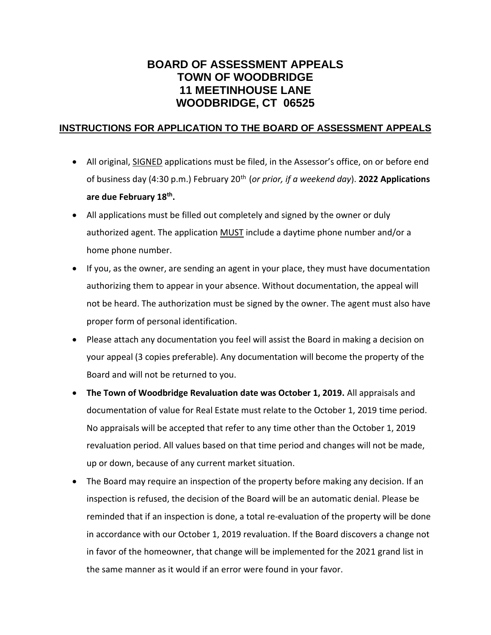## **BOARD OF ASSESSMENT APPEALS TOWN OF WOODBRIDGE 11 MEETINHOUSE LANE WOODBRIDGE, CT 06525**

## **INSTRUCTIONS FOR APPLICATION TO THE BOARD OF ASSESSMENT APPEALS**

- All original, **SIGNED** applications must be filed, in the Assessor's office, on or before end of business day (4:30 p.m.) February 20th (*or prior, if a weekend day*). **2022 Applications are due February 18th .**
- All applications must be filled out completely and signed by the owner or duly authorized agent. The application **MUST** include a daytime phone number and/or a home phone number.
- If you, as the owner, are sending an agent in your place, they must have documentation authorizing them to appear in your absence. Without documentation, the appeal will not be heard. The authorization must be signed by the owner. The agent must also have proper form of personal identification.
- Please attach any documentation you feel will assist the Board in making a decision on your appeal (3 copies preferable). Any documentation will become the property of the Board and will not be returned to you.
- **The Town of Woodbridge Revaluation date was October 1, 2019.** All appraisals and documentation of value for Real Estate must relate to the October 1, 2019 time period. No appraisals will be accepted that refer to any time other than the October 1, 2019 revaluation period. All values based on that time period and changes will not be made, up or down, because of any current market situation.
- The Board may require an inspection of the property before making any decision. If an inspection is refused, the decision of the Board will be an automatic denial. Please be reminded that if an inspection is done, a total re-evaluation of the property will be done in accordance with our October 1, 2019 revaluation. If the Board discovers a change not in favor of the homeowner, that change will be implemented for the 2021 grand list in the same manner as it would if an error were found in your favor.